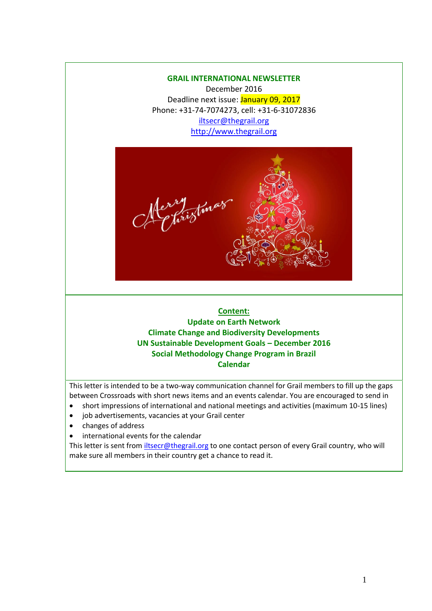### **GRAIL INTERNATIONAL NEWSLETTER**

December 2016 Deadline next issue: January 09, 2017 Phone: +31-74-7074273, cell: +31-6-31072836 [iltsecr@thegrail.org](mailto:iltsecr@thegrail.org) [http://www.thegrail.org](http://www.thegrail.org/)



# **Content: Update on Earth Network Climate Change and Biodiversity Developments UN Sustainable Development Goals – December 2016 Social Methodology Change Program in Brazil Calendar**

This letter is intended to be a two-way communication channel for Grail members to fill up the gaps between Crossroads with short news items and an events calendar. You are encouraged to send in

- short impressions of international and national meetings and activities (maximum 10-15 lines)
- job advertisements, vacancies at your Grail center
- changes of address
- international events for the calendar

This letter is sent from *iltsecr@thegrail.org* to one contact person of every Grail country, who will make sure all members in their country get a chance to read it.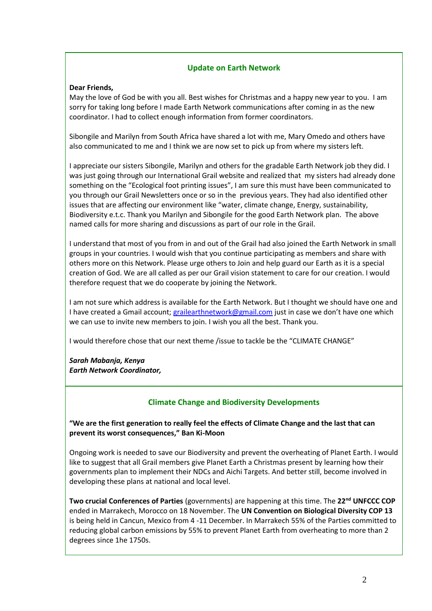### **Update on Earth Network**

#### **Dear Friends,**

May the love of God be with you all. Best wishes for Christmas and a happy new year to you. I am sorry for taking long before I made Earth Network communications after coming in as the new coordinator. I had to collect enough information from former coordinators.

Sibongile and Marilyn from South Africa have shared a lot with me, Mary Omedo and others have also communicated to me and I think we are now set to pick up from where my sisters left.

I appreciate our sisters Sibongile, Marilyn and others for the gradable Earth Network job they did. I was just going through our International Grail website and realized that my sisters had already done something on the "Ecological foot printing issues", I am sure this must have been communicated to you through our Grail Newsletters once or so in the previous years. They had also identified other issues that are affecting our environment like "water, climate change, Energy, sustainability, Biodiversity e.t.c. Thank you Marilyn and Sibongile for the good Earth Network plan. The above named calls for more sharing and discussions as part of our role in the Grail.

I understand that most of you from in and out of the Grail had also joined the Earth Network in small groups in your countries. I would wish that you continue participating as members and share with others more on this Network. Please urge others to Join and help guard our Earth as it is a special creation of God. We are all called as per our Grail vision statement to care for our creation. I would therefore request that we do cooperate by joining the Network.

I am not sure which address is available for the Earth Network. But I thought we should have one and I have created a Gmail account; [grailearthnetwork@gmail.com](mailto:grailearthnetwork@gmail.com) just in case we don't have one which we can use to invite new members to join. I wish you all the best. Thank you.

I would therefore chose that our next theme /issue to tackle be the "CLIMATE CHANGE"

*Sarah Mabanja, Kenya Earth Network Coordinator,*

## **Climate Change and Biodiversity Developments**

**"We are the first generation to really feel the effects of Climate Change and the last that can prevent its worst consequences," Ban Ki-Moon**

Ongoing work is needed to save our Biodiversity and prevent the overheating of Planet Earth. I would like to suggest that all Grail members give Planet Earth a Christmas present by learning how their governments plan to implement their NDCs and Aichi Targets. And better still, become involved in developing these plans at national and local level.

**Two crucial Conferences of Parties** (governments) are happening at this time. The **22nd UNFCCC COP** ended in Marrakech, Morocco on 18 November. The **UN Convention on Biological Diversity COP 13** is being held in Cancun, Mexico from 4 -11 December. In Marrakech 55% of the Parties committed to reducing global carbon emissions by 55% to prevent Planet Earth from overheating to more than 2 degrees since 1he 1750s.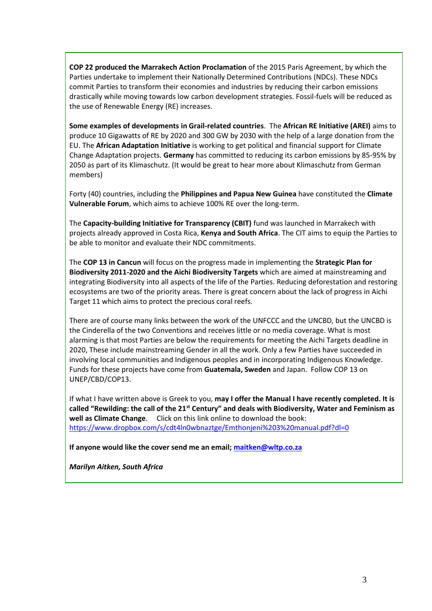**COP 22 produced the Marrakech Action Proclamation** of the 2015 Paris Agreement, by which the Parties undertake to implement their Nationally Determined Contributions (NDCs). These NDCs commit Parties to transform their economies and industries by reducing their carbon emissions drastically while moving towards low carbon development strategies. Fossil-fuels will be reduced as the use of Renewable Energy (RE) increases.

**Some examples of developments in Grail-related countries**. The **African RE Initiative (AREI)** aims to produce 10 Gigawatts of RE by 2020 and 300 GW by 2030 with the help of a large donation from the EU. The **African Adaptation Initiative** is working to get political and financial support for Climate Change Adaptation projects. **Germany** has committed to reducing its carbon emissions by 85-95% by 2050 as part of its Klimaschutz. (It would be great to hear more about Klimaschutz from German members)

Forty (40) countries, including the **Philippines and Papua New Guinea** have constituted the **Climate Vulnerable Forum**, which aims to achieve 100% RE over the long-term.

The **Capacity-building Initiative for Transparency (CBIT)** fund was launched in Marrakech with projects already approved in Costa Rica, **Kenya and South Africa**. The CIT aims to equip the Parties to be able to monitor and evaluate their NDC commitments.

The **COP 13 in Cancun** will focus on the progress made in implementing the **Strategic Plan for Biodiversity 2011-2020 and the Aichi Biodiversity Targets** which are aimed at mainstreaming and integrating Biodiversity into all aspects of the life of the Parties. Reducing deforestation and restoring ecosystems are two of the priority areas. There is great concern about the lack of progress in Aichi Target 11 which aims to protect the precious coral reefs.

There are of course many links between the work of the UNFCCC and the UNCBD, but the UNCBD is the Cinderella of the two Conventions and receives little or no media coverage. What is most alarming is that most Parties are below the requirements for meeting the Aichi Targets deadline in 2020, These include mainstreaming Gender in all the work. Only a few Parties have succeeded in involving local communities and Indigenous peoples and in incorporating Indigenous Knowledge. Funds for these projects have come from **Guatemala, Sweden** and Japan. Follow COP 13 on UNEP/CBD/COP13.

If what I have written above is Greek to you, **may I offer the Manual I have recently completed. It is called "Rewilding: the call of the 21st Century" and deals with Biodiversity, Water and Feminism as well as Climate Change**. Click on this link online to download the book: <https://www.dropbox.com/s/cdt4ln0wbnaztge/Emthonjeni%203%20manual.pdf?dl=0>

**If anyone would like the cover send me an email; [maitken@wltp.co.za](mailto:maitken@wltp.co.za)** 

*Marilyn Aitken, South Africa*